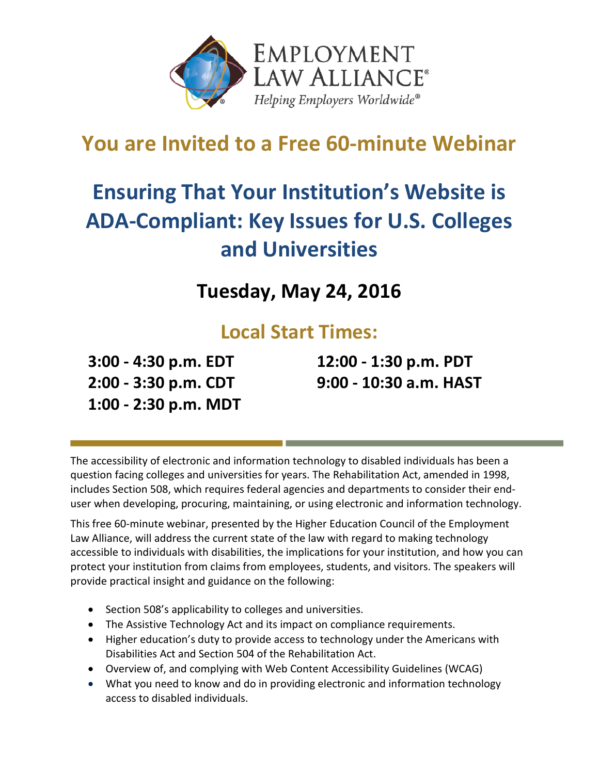

## **You are Invited to a Free 60-minute Webinar**

# **Ensuring That Your Institution's Website is ADA-Compliant: Key Issues for U.S. Colleges and Universities**

**Tuesday, May 24, 2016**

### **Local Start Times:**

**3:00 - 4:30 p.m. EDT 2:00 - 3:30 p.m. CDT 1:00 - 2:30 p.m. MDT** **12:00 - 1:30 p.m. PDT 9:00 - 10:30 a.m. HAST**

The accessibility of electronic and information technology to disabled individuals has been a question facing colleges and universities for years. The Rehabilitation Act, amended in 1998, includes Section 508, which requires federal agencies and departments to consider their enduser when developing, procuring, maintaining, or using electronic and information technology.

This free 60-minute webinar, presented by the Higher Education Council of the Employment Law Alliance, will address the current state of the law with regard to making technology accessible to individuals with disabilities, the implications for your institution, and how you can protect your institution from claims from employees, students, and visitors. The speakers will provide practical insight and guidance on the following:

- Section 508's applicability to colleges and universities.
- The Assistive Technology Act and its impact on compliance requirements.
- Higher education's duty to provide access to technology under the Americans with Disabilities Act and Section 504 of the Rehabilitation Act.
- Overview of, and complying with Web Content Accessibility Guidelines (WCAG)
- What you need to know and do in providing electronic and information technology access to disabled individuals.